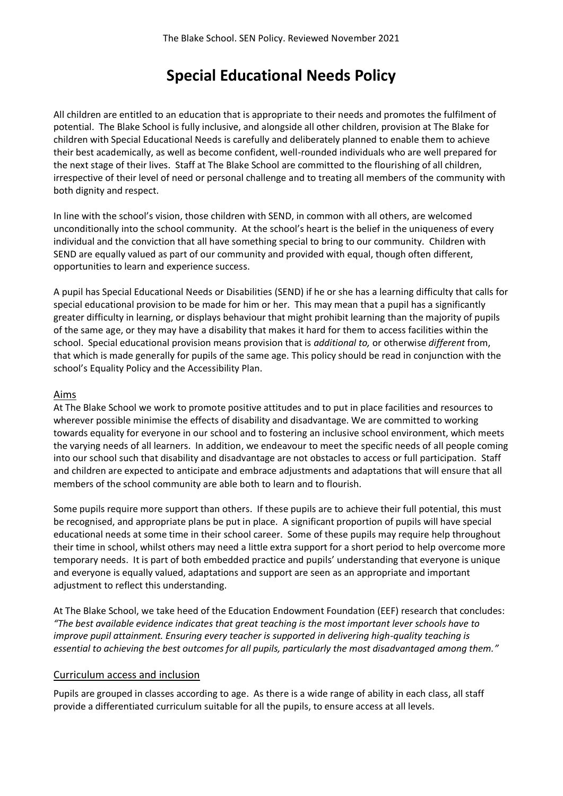# **Special Educational Needs Policy**

All children are entitled to an education that is appropriate to their needs and promotes the fulfilment of potential. The Blake School is fully inclusive, and alongside all other children, provision at The Blake for children with Special Educational Needs is carefully and deliberately planned to enable them to achieve their best academically, as well as become confident, well-rounded individuals who are well prepared for the next stage of their lives. Staff at The Blake School are committed to the flourishing of all children, irrespective of their level of need or personal challenge and to treating all members of the community with both dignity and respect.

In line with the school's vision, those children with SEND, in common with all others, are welcomed unconditionally into the school community. At the school's heart is the belief in the uniqueness of every individual and the conviction that all have something special to bring to our community. Children with SEND are equally valued as part of our community and provided with equal, though often different, opportunities to learn and experience success.

A pupil has Special Educational Needs or Disabilities (SEND) if he or she has a learning difficulty that calls for special educational provision to be made for him or her. This may mean that a pupil has a significantly greater difficulty in learning, or displays behaviour that might prohibit learning than the majority of pupils of the same age, or they may have a disability that makes it hard for them to access facilities within the school. Special educational provision means provision that is *additional to,* or otherwise *different* from, that which is made generally for pupils of the same age. This policy should be read in conjunction with the school's Equality Policy and the Accessibility Plan.

#### Aims

At The Blake School we work to promote positive attitudes and to put in place facilities and resources to wherever possible minimise the effects of disability and disadvantage. We are committed to working towards equality for everyone in our school and to fostering an inclusive school environment, which meets the varying needs of all learners. In addition, we endeavour to meet the specific needs of all people coming into our school such that disability and disadvantage are not obstacles to access or full participation. Staff and children are expected to anticipate and embrace adjustments and adaptations that will ensure that all members of the school community are able both to learn and to flourish.

Some pupils require more support than others. If these pupils are to achieve their full potential, this must be recognised, and appropriate plans be put in place. A significant proportion of pupils will have special educational needs at some time in their school career. Some of these pupils may require help throughout their time in school, whilst others may need a little extra support for a short period to help overcome more temporary needs. It is part of both embedded practice and pupils' understanding that everyone is unique and everyone is equally valued, adaptations and support are seen as an appropriate and important adjustment to reflect this understanding.

At The Blake School, we take heed of the Education Endowment Foundation (EEF) research that concludes: *"The best available evidence indicates that great teaching is the most important lever schools have to improve pupil attainment. Ensuring every teacher is supported in delivering high-quality teaching is essential to achieving the best outcomes for all pupils, particularly the most disadvantaged among them."*

#### Curriculum access and inclusion

Pupils are grouped in classes according to age. As there is a wide range of ability in each class, all staff provide a differentiated curriculum suitable for all the pupils, to ensure access at all levels.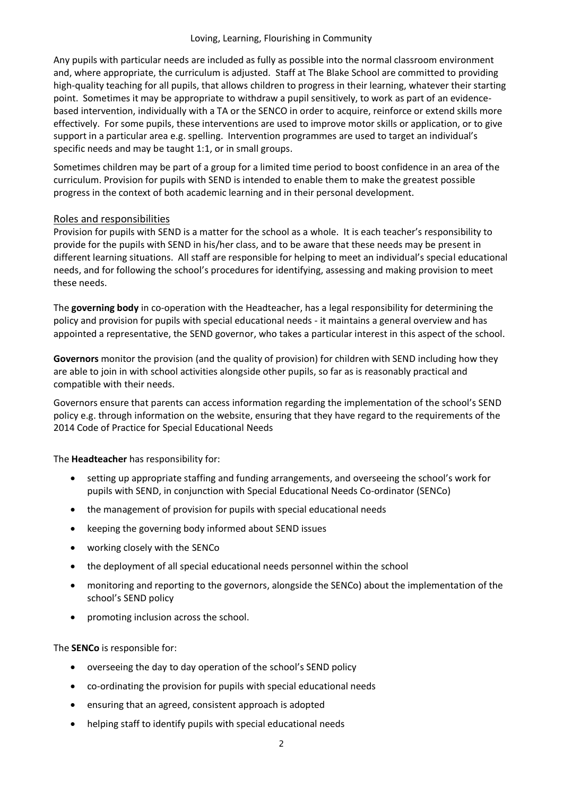Any pupils with particular needs are included as fully as possible into the normal classroom environment and, where appropriate, the curriculum is adjusted. Staff at The Blake School are committed to providing high-quality teaching for all pupils, that allows children to progress in their learning, whatever their starting point. Sometimes it may be appropriate to withdraw a pupil sensitively, to work as part of an evidencebased intervention, individually with a TA or the SENCO in order to acquire, reinforce or extend skills more effectively. For some pupils, these interventions are used to improve motor skills or application, or to give support in a particular area e.g. spelling. Intervention programmes are used to target an individual's specific needs and may be taught 1:1, or in small groups.

Sometimes children may be part of a group for a limited time period to boost confidence in an area of the curriculum. Provision for pupils with SEND is intended to enable them to make the greatest possible progress in the context of both academic learning and in their personal development.

# Roles and responsibilities

Provision for pupils with SEND is a matter for the school as a whole. It is each teacher's responsibility to provide for the pupils with SEND in his/her class, and to be aware that these needs may be present in different learning situations. All staff are responsible for helping to meet an individual's special educational needs, and for following the school's procedures for identifying, assessing and making provision to meet these needs.

The **governing body** in co-operation with the Headteacher, has a legal responsibility for determining the policy and provision for pupils with special educational needs - it maintains a general overview and has appointed a representative, the SEND governor, who takes a particular interest in this aspect of the school.

**Governors** monitor the provision (and the quality of provision) for children with SEND including how they are able to join in with school activities alongside other pupils, so far as is reasonably practical and compatible with their needs.

Governors ensure that parents can access information regarding the implementation of the school's SEND policy e.g. through information on the website, ensuring that they have regard to the requirements of the 2014 Code of Practice for Special Educational Needs

The **Headteacher** has responsibility for:

- setting up appropriate staffing and funding arrangements, and overseeing the school's work for pupils with SEND, in conjunction with Special Educational Needs Co-ordinator (SENCo)
- the management of provision for pupils with special educational needs
- keeping the governing body informed about SEND issues
- working closely with the SENCo
- the deployment of all special educational needs personnel within the school
- monitoring and reporting to the governors, alongside the SENCo) about the implementation of the school's SEND policy
- promoting inclusion across the school.

The **SENCo** is responsible for:

- overseeing the day to day operation of the school's SEND policy
- co-ordinating the provision for pupils with special educational needs
- ensuring that an agreed, consistent approach is adopted
- helping staff to identify pupils with special educational needs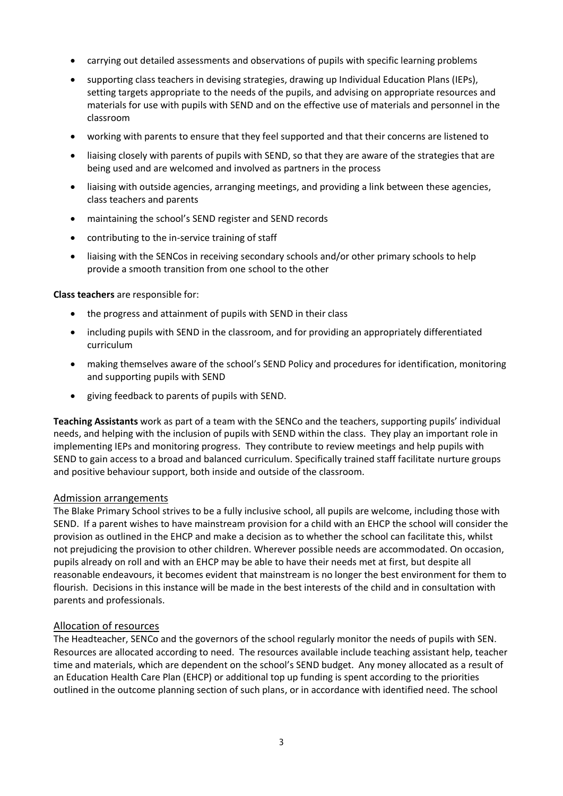- carrying out detailed assessments and observations of pupils with specific learning problems
- supporting class teachers in devising strategies, drawing up Individual Education Plans (IEPs), setting targets appropriate to the needs of the pupils, and advising on appropriate resources and materials for use with pupils with SEND and on the effective use of materials and personnel in the classroom
- working with parents to ensure that they feel supported and that their concerns are listened to
- liaising closely with parents of pupils with SEND, so that they are aware of the strategies that are being used and are welcomed and involved as partners in the process
- liaising with outside agencies, arranging meetings, and providing a link between these agencies, class teachers and parents
- maintaining the school's SEND register and SEND records
- contributing to the in-service training of staff
- liaising with the SENCos in receiving secondary schools and/or other primary schools to help provide a smooth transition from one school to the other

**Class teachers** are responsible for:

- the progress and attainment of pupils with SEND in their class
- including pupils with SEND in the classroom, and for providing an appropriately differentiated curriculum
- making themselves aware of the school's SEND Policy and procedures for identification, monitoring and supporting pupils with SEND
- giving feedback to parents of pupils with SEND.

**Teaching Assistants** work as part of a team with the SENCo and the teachers, supporting pupils' individual needs, and helping with the inclusion of pupils with SEND within the class. They play an important role in implementing IEPs and monitoring progress. They contribute to review meetings and help pupils with SEND to gain access to a broad and balanced curriculum. Specifically trained staff facilitate nurture groups and positive behaviour support, both inside and outside of the classroom.

#### Admission arrangements

The Blake Primary School strives to be a fully inclusive school, all pupils are welcome, including those with SEND. If a parent wishes to have mainstream provision for a child with an EHCP the school will consider the provision as outlined in the EHCP and make a decision as to whether the school can facilitate this, whilst not prejudicing the provision to other children. Wherever possible needs are accommodated. On occasion, pupils already on roll and with an EHCP may be able to have their needs met at first, but despite all reasonable endeavours, it becomes evident that mainstream is no longer the best environment for them to flourish. Decisions in this instance will be made in the best interests of the child and in consultation with parents and professionals.

#### Allocation of resources

The Headteacher, SENCo and the governors of the school regularly monitor the needs of pupils with SEN. Resources are allocated according to need. The resources available include teaching assistant help, teacher time and materials, which are dependent on the school's SEND budget. Any money allocated as a result of an Education Health Care Plan (EHCP) or additional top up funding is spent according to the priorities outlined in the outcome planning section of such plans, or in accordance with identified need. The school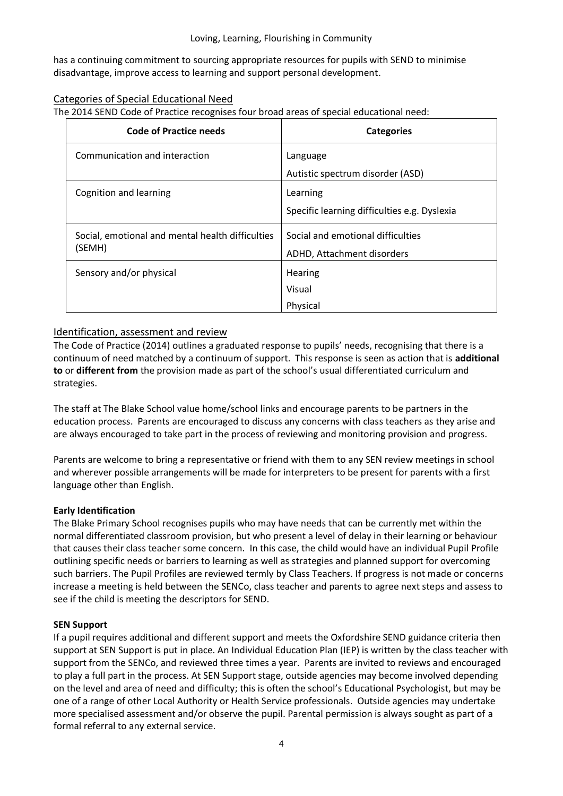has a continuing commitment to sourcing appropriate resources for pupils with SEND to minimise disadvantage, improve access to learning and support personal development.

# Categories of Special Educational Need

The 2014 SEND Code of Practice recognises four broad areas of special educational need:

| <b>Code of Practice needs</b>                    | <b>Categories</b>                            |
|--------------------------------------------------|----------------------------------------------|
| Communication and interaction                    | Language                                     |
|                                                  | Autistic spectrum disorder (ASD)             |
| Cognition and learning                           | Learning                                     |
|                                                  | Specific learning difficulties e.g. Dyslexia |
| Social, emotional and mental health difficulties | Social and emotional difficulties            |
| (SEMH)                                           | ADHD, Attachment disorders                   |
| Sensory and/or physical                          | Hearing                                      |
|                                                  | Visual                                       |
|                                                  | Physical                                     |

# Identification, assessment and review

The Code of Practice (2014) outlines a graduated response to pupils' needs, recognising that there is a continuum of need matched by a continuum of support. This response is seen as action that is **additional to** or **different from** the provision made as part of the school's usual differentiated curriculum and strategies.

The staff at The Blake School value home/school links and encourage parents to be partners in the education process. Parents are encouraged to discuss any concerns with class teachers as they arise and are always encouraged to take part in the process of reviewing and monitoring provision and progress.

Parents are welcome to bring a representative or friend with them to any SEN review meetings in school and wherever possible arrangements will be made for interpreters to be present for parents with a first language other than English.

## **Early Identification**

The Blake Primary School recognises pupils who may have needs that can be currently met within the normal differentiated classroom provision, but who present a level of delay in their learning or behaviour that causes their class teacher some concern. In this case, the child would have an individual Pupil Profile outlining specific needs or barriers to learning as well as strategies and planned support for overcoming such barriers. The Pupil Profiles are reviewed termly by Class Teachers. If progress is not made or concerns increase a meeting is held between the SENCo, class teacher and parents to agree next steps and assess to see if the child is meeting the descriptors for SEND.

## **SEN Support**

If a pupil requires additional and different support and meets the Oxfordshire SEND guidance criteria then support at SEN Support is put in place. An Individual Education Plan (IEP) is written by the class teacher with support from the SENCo, and reviewed three times a year. Parents are invited to reviews and encouraged to play a full part in the process. At SEN Support stage, outside agencies may become involved depending on the level and area of need and difficulty; this is often the school's Educational Psychologist, but may be one of a range of other Local Authority or Health Service professionals. Outside agencies may undertake more specialised assessment and/or observe the pupil. Parental permission is always sought as part of a formal referral to any external service.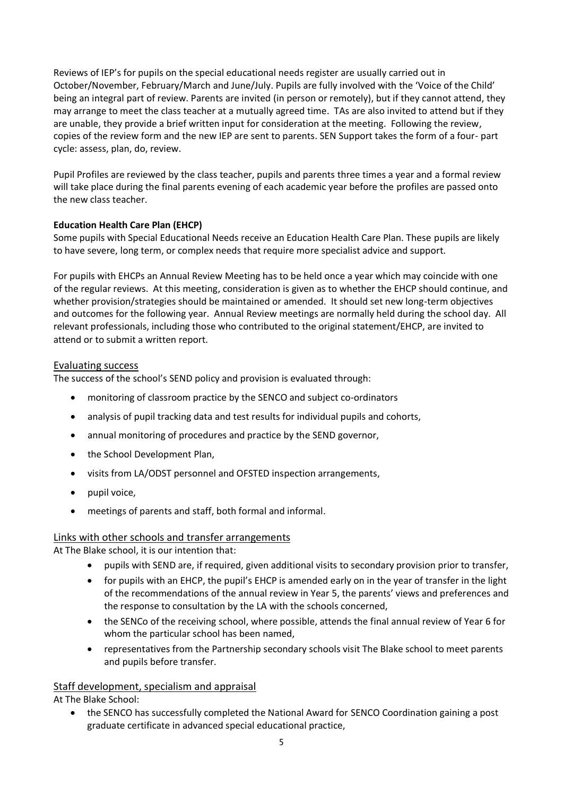Reviews of IEP's for pupils on the special educational needs register are usually carried out in October/November, February/March and June/July. Pupils are fully involved with the 'Voice of the Child' being an integral part of review. Parents are invited (in person or remotely), but if they cannot attend, they may arrange to meet the class teacher at a mutually agreed time. TAs are also invited to attend but if they are unable, they provide a brief written input for consideration at the meeting. Following the review, copies of the review form and the new IEP are sent to parents. SEN Support takes the form of a four- part cycle: assess, plan, do, review.

Pupil Profiles are reviewed by the class teacher, pupils and parents three times a year and a formal review will take place during the final parents evening of each academic year before the profiles are passed onto the new class teacher.

## **Education Health Care Plan (EHCP)**

Some pupils with Special Educational Needs receive an Education Health Care Plan. These pupils are likely to have severe, long term, or complex needs that require more specialist advice and support.

For pupils with EHCPs an Annual Review Meeting has to be held once a year which may coincide with one of the regular reviews. At this meeting, consideration is given as to whether the EHCP should continue, and whether provision/strategies should be maintained or amended. It should set new long-term objectives and outcomes for the following year. Annual Review meetings are normally held during the school day. All relevant professionals, including those who contributed to the original statement/EHCP, are invited to attend or to submit a written report.

## Evaluating success

The success of the school's SEND policy and provision is evaluated through:

- monitoring of classroom practice by the SENCO and subject co-ordinators
- analysis of pupil tracking data and test results for individual pupils and cohorts,
- annual monitoring of procedures and practice by the SEND governor,
- the School Development Plan,
- visits from LA/ODST personnel and OFSTED inspection arrangements,
- pupil voice,
- meetings of parents and staff, both formal and informal.

## Links with other schools and transfer arrangements

At The Blake school, it is our intention that:

- pupils with SEND are, if required, given additional visits to secondary provision prior to transfer,
- for pupils with an EHCP, the pupil's EHCP is amended early on in the year of transfer in the light of the recommendations of the annual review in Year 5, the parents' views and preferences and the response to consultation by the LA with the schools concerned,
- the SENCo of the receiving school, where possible, attends the final annual review of Year 6 for whom the particular school has been named,
- representatives from the Partnership secondary schools visit The Blake school to meet parents and pupils before transfer.

## Staff development, specialism and appraisal

At The Blake School:

• the SENCO has successfully completed the National Award for SENCO Coordination gaining a post graduate certificate in advanced special educational practice,